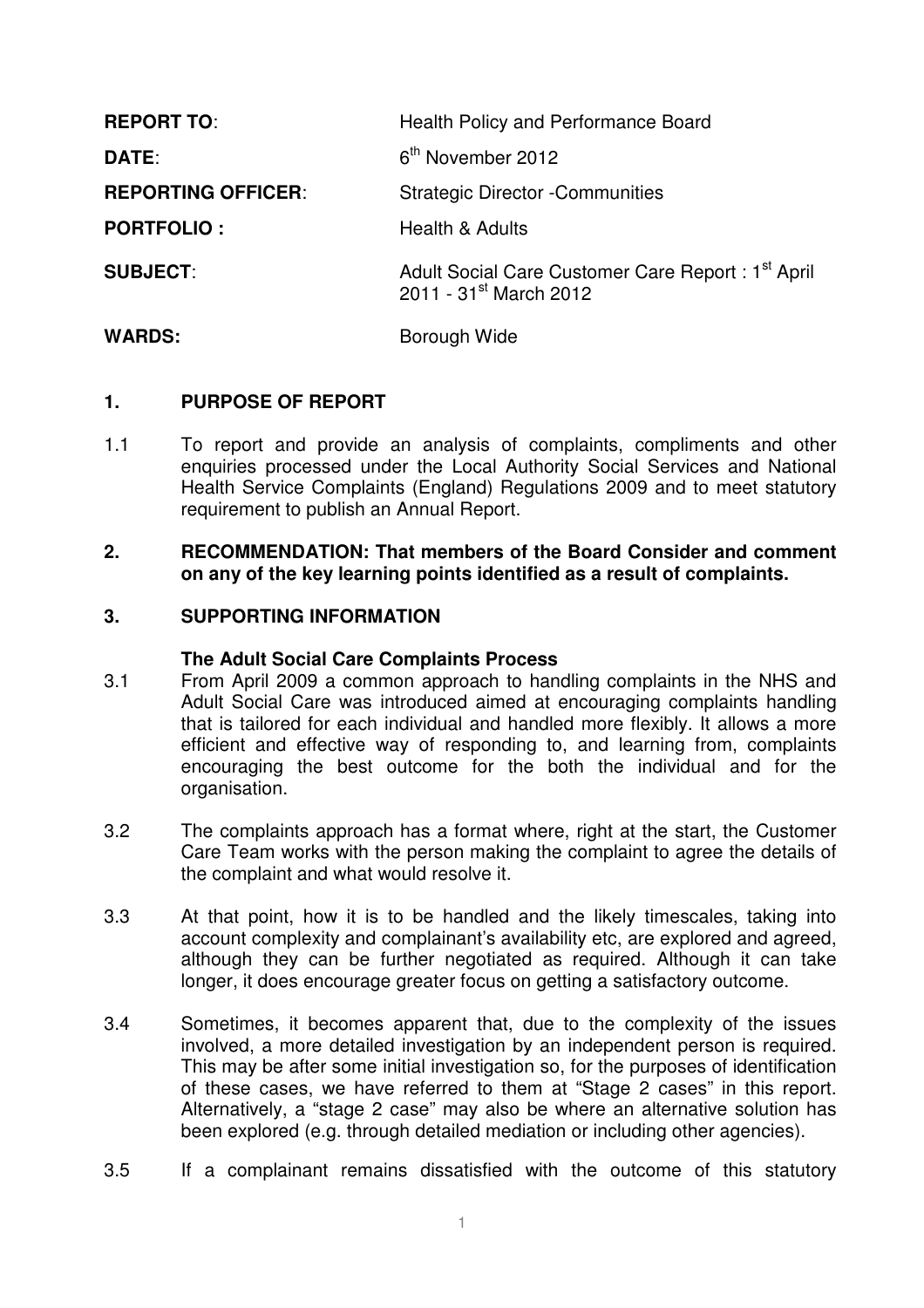| <b>REPORT TO:</b>         | Health Policy and Performance Board                                                                 |
|---------------------------|-----------------------------------------------------------------------------------------------------|
| DATE:                     | 6 <sup>th</sup> November 2012                                                                       |
| <b>REPORTING OFFICER:</b> | <b>Strategic Director - Communities</b>                                                             |
| <b>PORTFOLIO:</b>         | Health & Adults                                                                                     |
| <b>SUBJECT:</b>           | Adult Social Care Customer Care Report: 1 <sup>st</sup> April<br>2011 - 31 <sup>st</sup> March 2012 |
| <b>WARDS:</b>             | Borough Wide                                                                                        |

## **1. PURPOSE OF REPORT**

1.1 To report and provide an analysis of complaints, compliments and other enquiries processed under the Local Authority Social Services and National Health Service Complaints (England) Regulations 2009 and to meet statutory requirement to publish an Annual Report.

## **2. RECOMMENDATION: That members of the Board Consider and comment on any of the key learning points identified as a result of complaints.**

## **3. SUPPORTING INFORMATION**

#### **The Adult Social Care Complaints Process**

- 3.1 From April 2009 a common approach to handling complaints in the NHS and Adult Social Care was introduced aimed at encouraging complaints handling that is tailored for each individual and handled more flexibly. It allows a more efficient and effective way of responding to, and learning from, complaints encouraging the best outcome for the both the individual and for the organisation.
- 3.2 The complaints approach has a format where, right at the start, the Customer Care Team works with the person making the complaint to agree the details of the complaint and what would resolve it.
- 3.3 At that point, how it is to be handled and the likely timescales, taking into account complexity and complainant's availability etc, are explored and agreed, although they can be further negotiated as required. Although it can take longer, it does encourage greater focus on getting a satisfactory outcome.
- 3.4 Sometimes, it becomes apparent that, due to the complexity of the issues involved, a more detailed investigation by an independent person is required. This may be after some initial investigation so, for the purposes of identification of these cases, we have referred to them at "Stage 2 cases" in this report. Alternatively, a "stage 2 case" may also be where an alternative solution has been explored (e.g. through detailed mediation or including other agencies).
- 3.5 If a complainant remains dissatisfied with the outcome of this statutory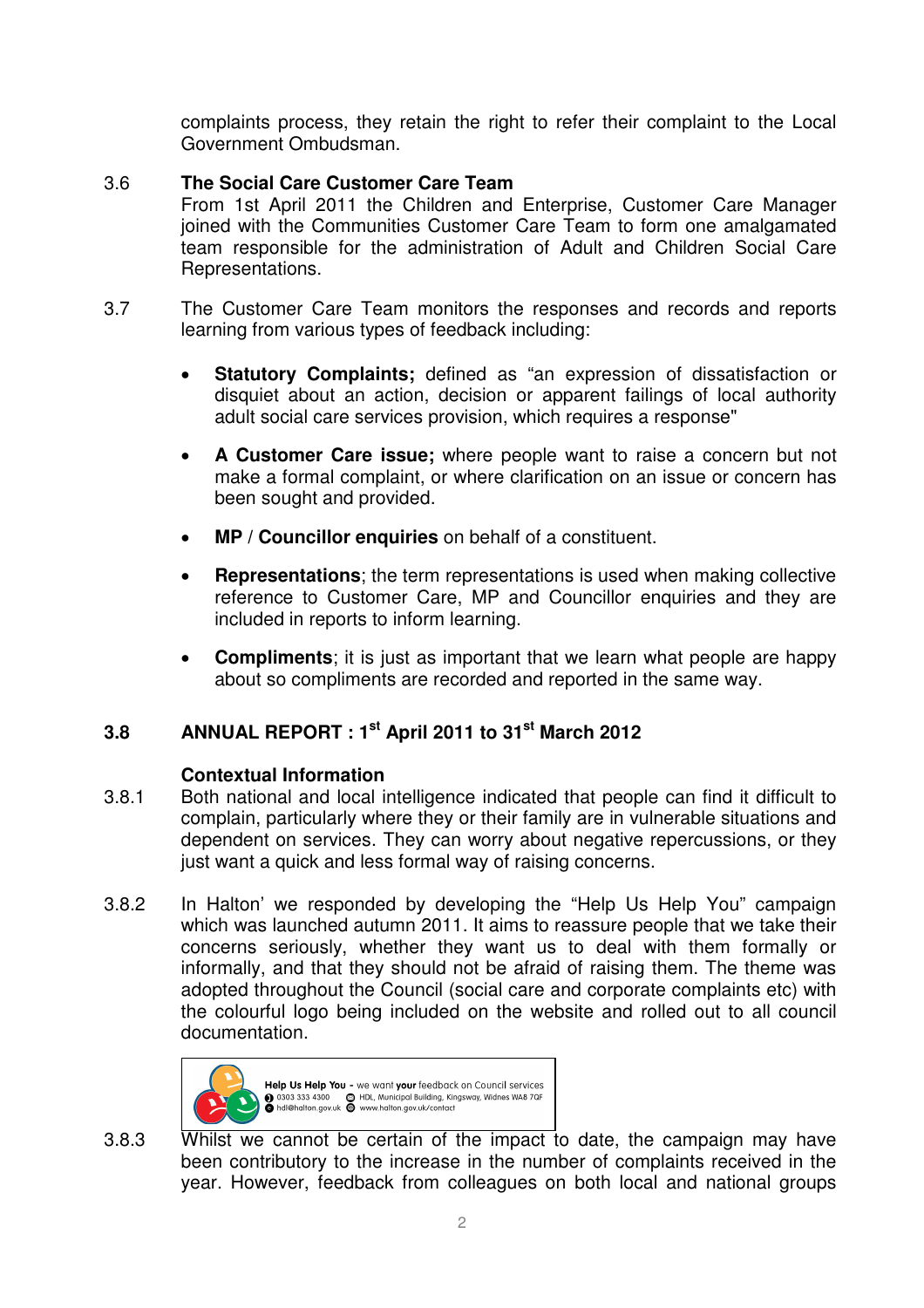complaints process, they retain the right to refer their complaint to the Local Government Ombudsman.

# 3.6 **The Social Care Customer Care Team**

From 1st April 2011 the Children and Enterprise, Customer Care Manager joined with the Communities Customer Care Team to form one amalgamated team responsible for the administration of Adult and Children Social Care Representations.

- 3.7 The Customer Care Team monitors the responses and records and reports learning from various types of feedback including:
	- **Statutory Complaints;** defined as "an expression of dissatisfaction or disquiet about an action, decision or apparent failings of local authority adult social care services provision, which requires a response"
	- **A Customer Care issue;** where people want to raise a concern but not make a formal complaint, or where clarification on an issue or concern has been sought and provided.
	- **MP / Councillor enquiries** on behalf of a constituent.
	- **Representations**; the term representations is used when making collective reference to Customer Care, MP and Councillor enquiries and they are included in reports to inform learning.
	- **Compliments**; it is just as important that we learn what people are happy about so compliments are recorded and reported in the same way.

# **3.8 ANNUAL REPORT : 1st April 2011 to 31st March 2012**

# **Contextual Information**

- 3.8.1 Both national and local intelligence indicated that people can find it difficult to complain, particularly where they or their family are in vulnerable situations and dependent on services. They can worry about negative repercussions, or they just want a quick and less formal way of raising concerns.
- 3.8.2 In Halton' we responded by developing the "Help Us Help You" campaign which was launched autumn 2011. It aims to reassure people that we take their concerns seriously, whether they want us to deal with them formally or informally, and that they should not be afraid of raising them. The theme was adopted throughout the Council (social care and corporate complaints etc) with the colourful logo being included on the website and rolled out to all council documentation.



3.8.3 Whilst we cannot be certain of the impact to date, the campaign may have been contributory to the increase in the number of complaints received in the year. However, feedback from colleagues on both local and national groups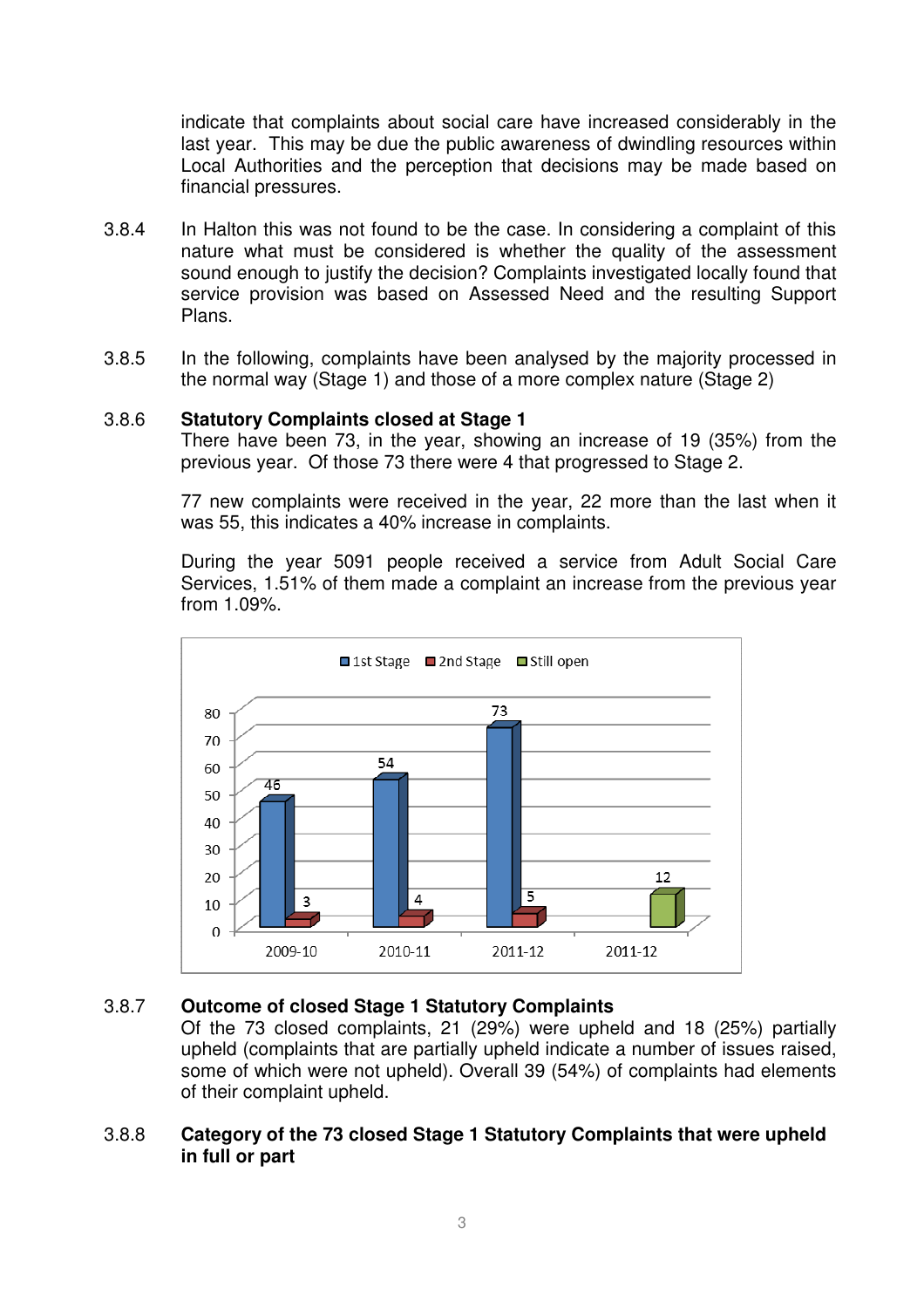indicate that complaints about social care have increased considerably in the last year. This may be due the public awareness of dwindling resources within Local Authorities and the perception that decisions may be made based on financial pressures.

- 3.8.4 In Halton this was not found to be the case. In considering a complaint of this nature what must be considered is whether the quality of the assessment sound enough to justify the decision? Complaints investigated locally found that service provision was based on Assessed Need and the resulting Support Plans.
- 3.8.5 In the following, complaints have been analysed by the majority processed in the normal way (Stage 1) and those of a more complex nature (Stage 2)

## 3.8.6 **Statutory Complaints closed at Stage 1**

There have been 73, in the year, showing an increase of 19 (35%) from the previous year. Of those 73 there were 4 that progressed to Stage 2.

77 new complaints were received in the year, 22 more than the last when it was 55, this indicates a 40% increase in complaints.

During the year 5091 people received a service from Adult Social Care Services, 1.51% of them made a complaint an increase from the previous year from 1.09%.



## 3.8.7 **Outcome of closed Stage 1 Statutory Complaints**

Of the 73 closed complaints, 21 (29%) were upheld and 18 (25%) partially upheld (complaints that are partially upheld indicate a number of issues raised, some of which were not upheld). Overall 39 (54%) of complaints had elements of their complaint upheld.

## 3.8.8 **Category of the 73 closed Stage 1 Statutory Complaints that were upheld in full or part**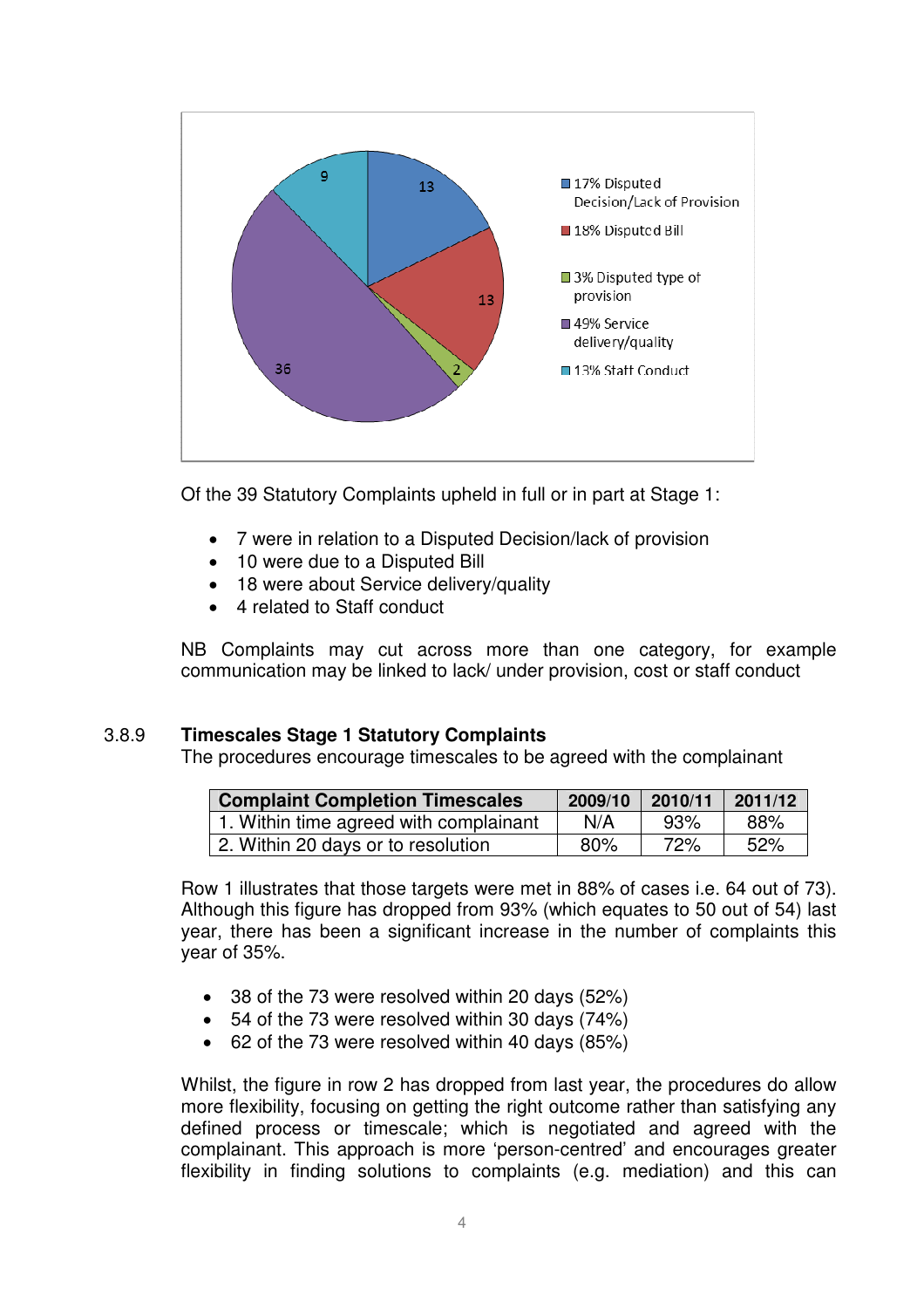

Of the 39 Statutory Complaints upheld in full or in part at Stage 1:

- 7 were in relation to a Disputed Decision/lack of provision
- 10 were due to a Disputed Bill
- 18 were about Service delivery/quality
- 4 related to Staff conduct

NB Complaints may cut across more than one category, for example communication may be linked to lack/ under provision, cost or staff conduct

# 3.8.9 **Timescales Stage 1 Statutory Complaints**

The procedures encourage timescales to be agreed with the complainant

| <b>Complaint Completion Timescales</b> | 2009/10 | 2010/11 | 2011/12 |
|----------------------------------------|---------|---------|---------|
| 1. Within time agreed with complainant | N/A     | 93%     | 88%     |
| 2. Within 20 days or to resolution     | 80%     | 72%     | 52%     |

Row 1 illustrates that those targets were met in 88% of cases i.e. 64 out of 73). Although this figure has dropped from 93% (which equates to 50 out of 54) last year, there has been a significant increase in the number of complaints this year of 35%.

- 38 of the 73 were resolved within 20 days (52%)
- 54 of the 73 were resolved within 30 days (74%)
- 62 of the 73 were resolved within 40 days (85%)

Whilst, the figure in row 2 has dropped from last year, the procedures do allow more flexibility, focusing on getting the right outcome rather than satisfying any defined process or timescale; which is negotiated and agreed with the complainant. This approach is more 'person-centred' and encourages greater flexibility in finding solutions to complaints (e.g. mediation) and this can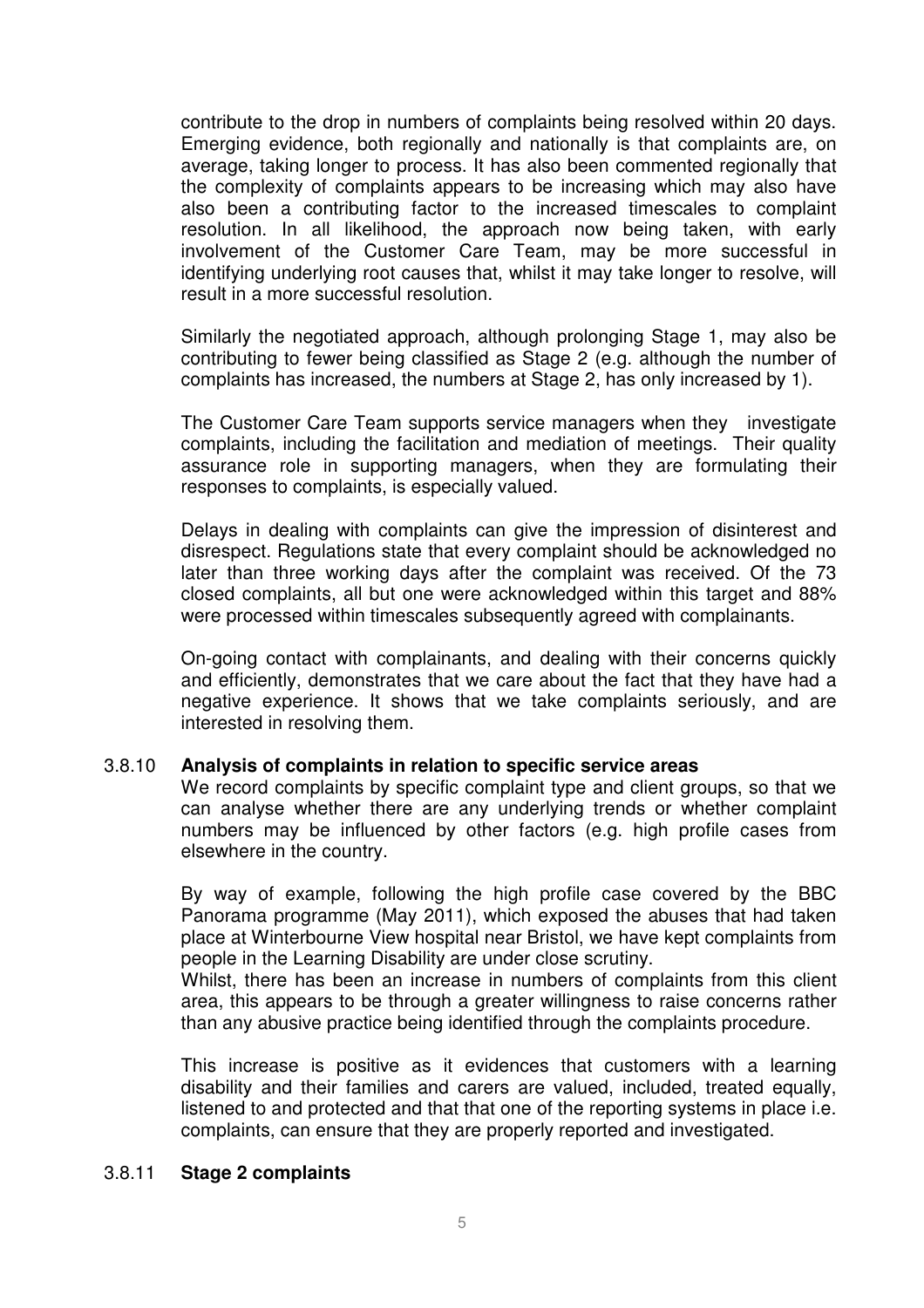contribute to the drop in numbers of complaints being resolved within 20 days. Emerging evidence, both regionally and nationally is that complaints are, on average, taking longer to process. It has also been commented regionally that the complexity of complaints appears to be increasing which may also have also been a contributing factor to the increased timescales to complaint resolution. In all likelihood, the approach now being taken, with early involvement of the Customer Care Team, may be more successful in identifying underlying root causes that, whilst it may take longer to resolve, will result in a more successful resolution.

Similarly the negotiated approach, although prolonging Stage 1, may also be contributing to fewer being classified as Stage 2 (e.g. although the number of complaints has increased, the numbers at Stage 2, has only increased by 1).

The Customer Care Team supports service managers when they investigate complaints, including the facilitation and mediation of meetings. Their quality assurance role in supporting managers, when they are formulating their responses to complaints, is especially valued.

Delays in dealing with complaints can give the impression of disinterest and disrespect. Regulations state that every complaint should be acknowledged no later than three working days after the complaint was received. Of the 73 closed complaints, all but one were acknowledged within this target and 88% were processed within timescales subsequently agreed with complainants.

On-going contact with complainants, and dealing with their concerns quickly and efficiently, demonstrates that we care about the fact that they have had a negative experience. It shows that we take complaints seriously, and are interested in resolving them.

#### 3.8.10 **Analysis of complaints in relation to specific service areas**

We record complaints by specific complaint type and client groups, so that we can analyse whether there are any underlying trends or whether complaint numbers may be influenced by other factors (e.g. high profile cases from elsewhere in the country.

By way of example, following the high profile case covered by the BBC Panorama programme (May 2011), which exposed the abuses that had taken place at Winterbourne View hospital near Bristol, we have kept complaints from people in the Learning Disability are under close scrutiny.

Whilst, there has been an increase in numbers of complaints from this client area, this appears to be through a greater willingness to raise concerns rather than any abusive practice being identified through the complaints procedure.

This increase is positive as it evidences that customers with a learning disability and their families and carers are valued, included, treated equally, listened to and protected and that that one of the reporting systems in place i.e. complaints, can ensure that they are properly reported and investigated.

#### 3.8.11 **Stage 2 complaints**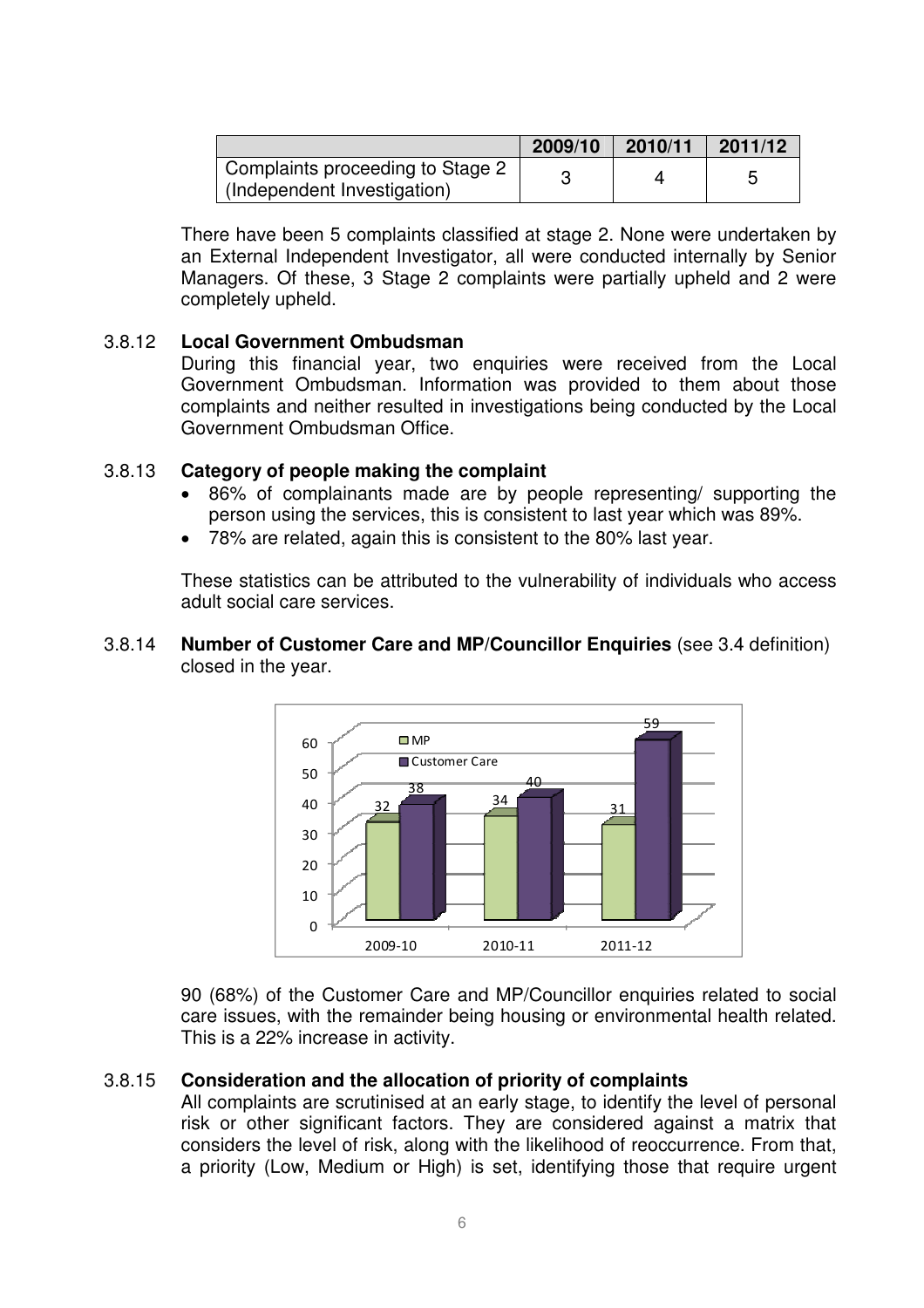|                                                                 | 2009/10 | 2010/11 | 2011/12 |
|-----------------------------------------------------------------|---------|---------|---------|
| Complaints proceeding to Stage 2<br>(Independent Investigation) |         |         |         |

There have been 5 complaints classified at stage 2. None were undertaken by an External Independent Investigator, all were conducted internally by Senior Managers. Of these, 3 Stage 2 complaints were partially upheld and 2 were completely upheld.

## 3.8.12 **Local Government Ombudsman**

During this financial year, two enquiries were received from the Local Government Ombudsman. Information was provided to them about those complaints and neither resulted in investigations being conducted by the Local Government Ombudsman Office.

## 3.8.13 **Category of people making the complaint**

- 86% of complainants made are by people representing/ supporting the person using the services, this is consistent to last year which was 89%.
- 78% are related, again this is consistent to the 80% last year.

These statistics can be attributed to the vulnerability of individuals who access adult social care services.

#### 3.8.14 **Number of Customer Care and MP/Councillor Enquiries** (see 3.4 definition) closed in the year.



90 (68%) of the Customer Care and MP/Councillor enquiries related to social care issues, with the remainder being housing or environmental health related. This is a 22% increase in activity.

## 3.8.15 **Consideration and the allocation of priority of complaints**

All complaints are scrutinised at an early stage, to identify the level of personal risk or other significant factors. They are considered against a matrix that considers the level of risk, along with the likelihood of reoccurrence. From that, a priority (Low, Medium or High) is set, identifying those that require urgent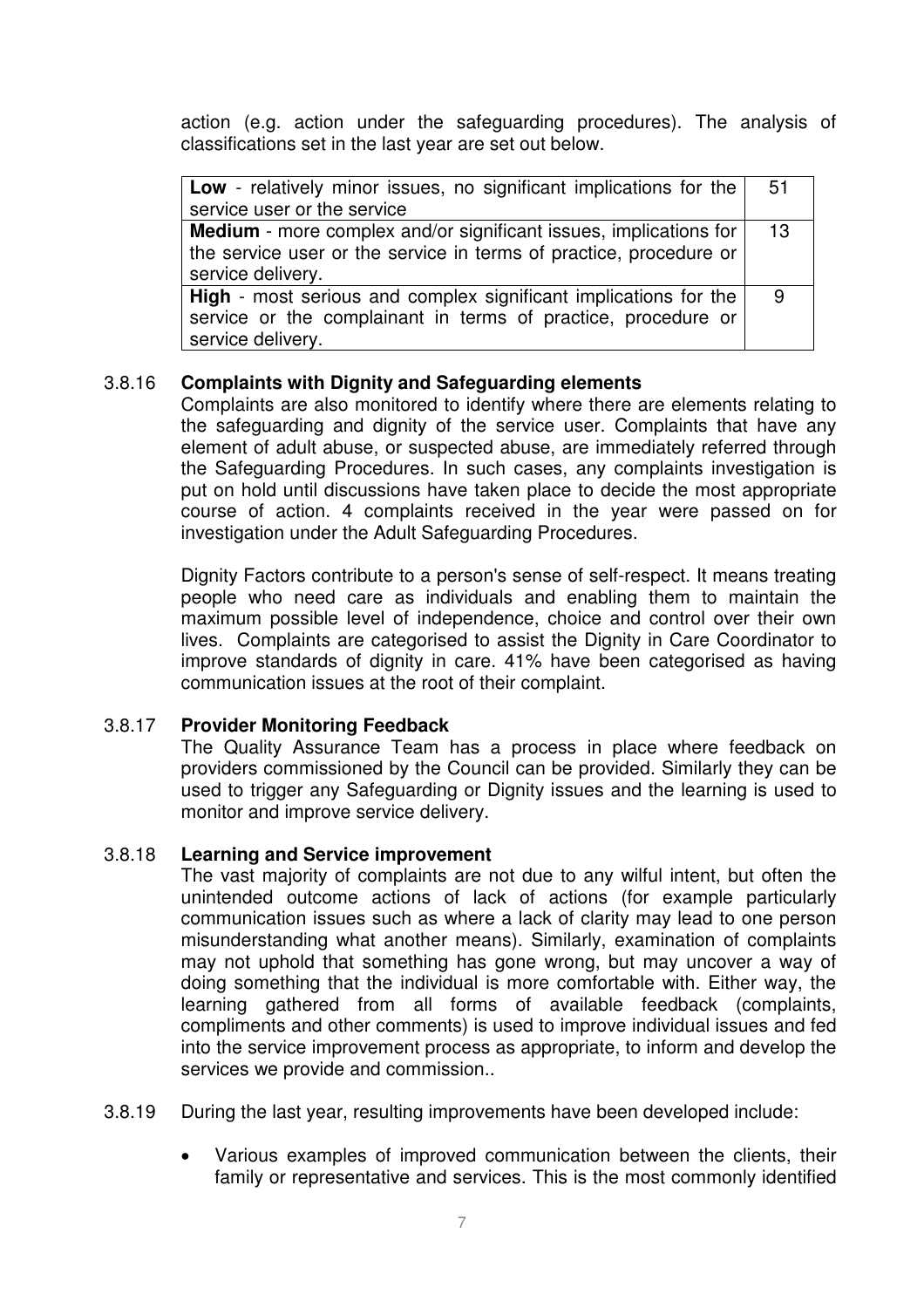action (e.g. action under the safeguarding procedures). The analysis of classifications set in the last year are set out below.

| <b>Low</b> - relatively minor issues, no significant implications for the | 51 |
|---------------------------------------------------------------------------|----|
| service user or the service                                               |    |
| Medium - more complex and/or significant issues, implications for         | 13 |
| the service user or the service in terms of practice, procedure or        |    |
| service delivery.                                                         |    |
| High - most serious and complex significant implications for the          | -9 |
| service or the complainant in terms of practice, procedure or             |    |
| service delivery.                                                         |    |

## 3.8.16 **Complaints with Dignity and Safeguarding elements**

Complaints are also monitored to identify where there are elements relating to the safeguarding and dignity of the service user. Complaints that have any element of adult abuse, or suspected abuse, are immediately referred through the Safeguarding Procedures. In such cases, any complaints investigation is put on hold until discussions have taken place to decide the most appropriate course of action. 4 complaints received in the year were passed on for investigation under the Adult Safeguarding Procedures.

Dignity Factors contribute to a person's sense of self-respect. It means treating people who need care as individuals and enabling them to maintain the maximum possible level of independence, choice and control over their own lives. Complaints are categorised to assist the Dignity in Care Coordinator to improve standards of dignity in care. 41% have been categorised as having communication issues at the root of their complaint.

## 3.8.17 **Provider Monitoring Feedback**

The Quality Assurance Team has a process in place where feedback on providers commissioned by the Council can be provided. Similarly they can be used to trigger any Safeguarding or Dignity issues and the learning is used to monitor and improve service delivery.

## 3.8.18 **Learning and Service improvement**

The vast majority of complaints are not due to any wilful intent, but often the unintended outcome actions of lack of actions (for example particularly communication issues such as where a lack of clarity may lead to one person misunderstanding what another means). Similarly, examination of complaints may not uphold that something has gone wrong, but may uncover a way of doing something that the individual is more comfortable with. Either way, the learning gathered from all forms of available feedback (complaints, compliments and other comments) is used to improve individual issues and fed into the service improvement process as appropriate, to inform and develop the services we provide and commission..

- 3.8.19 During the last year, resulting improvements have been developed include:
	- Various examples of improved communication between the clients, their family or representative and services. This is the most commonly identified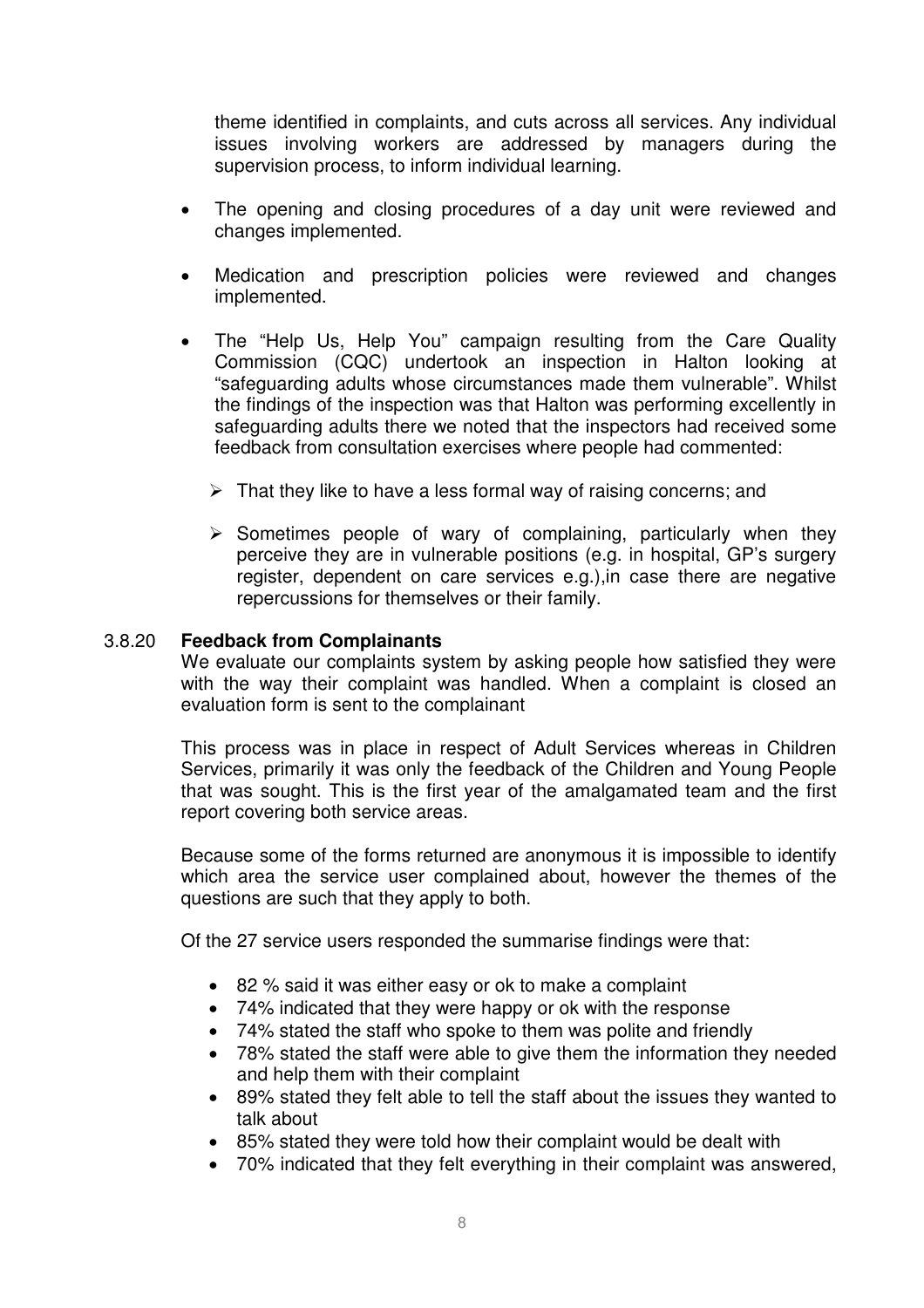theme identified in complaints, and cuts across all services. Any individual issues involving workers are addressed by managers during the supervision process, to inform individual learning.

- The opening and closing procedures of a day unit were reviewed and changes implemented.
- Medication and prescription policies were reviewed and changes implemented.
- The "Help Us, Help You" campaign resulting from the Care Quality Commission (CQC) undertook an inspection in Halton looking at "safeguarding adults whose circumstances made them vulnerable". Whilst the findings of the inspection was that Halton was performing excellently in safeguarding adults there we noted that the inspectors had received some feedback from consultation exercises where people had commented:
	- $\triangleright$  That they like to have a less formal way of raising concerns; and
	- $\triangleright$  Sometimes people of wary of complaining, particularly when they perceive they are in vulnerable positions (e.g. in hospital, GP's surgery register, dependent on care services e.g.),in case there are negative repercussions for themselves or their family.

#### 3.8.20 **Feedback from Complainants**

We evaluate our complaints system by asking people how satisfied they were with the way their complaint was handled. When a complaint is closed an evaluation form is sent to the complainant

This process was in place in respect of Adult Services whereas in Children Services, primarily it was only the feedback of the Children and Young People that was sought. This is the first year of the amalgamated team and the first report covering both service areas.

Because some of the forms returned are anonymous it is impossible to identify which area the service user complained about, however the themes of the questions are such that they apply to both.

Of the 27 service users responded the summarise findings were that:

- 82 % said it was either easy or ok to make a complaint
- 74% indicated that they were happy or ok with the response
- 74% stated the staff who spoke to them was polite and friendly
- 78% stated the staff were able to give them the information they needed and help them with their complaint
- 89% stated they felt able to tell the staff about the issues they wanted to talk about
- 85% stated they were told how their complaint would be dealt with
- 70% indicated that they felt everything in their complaint was answered,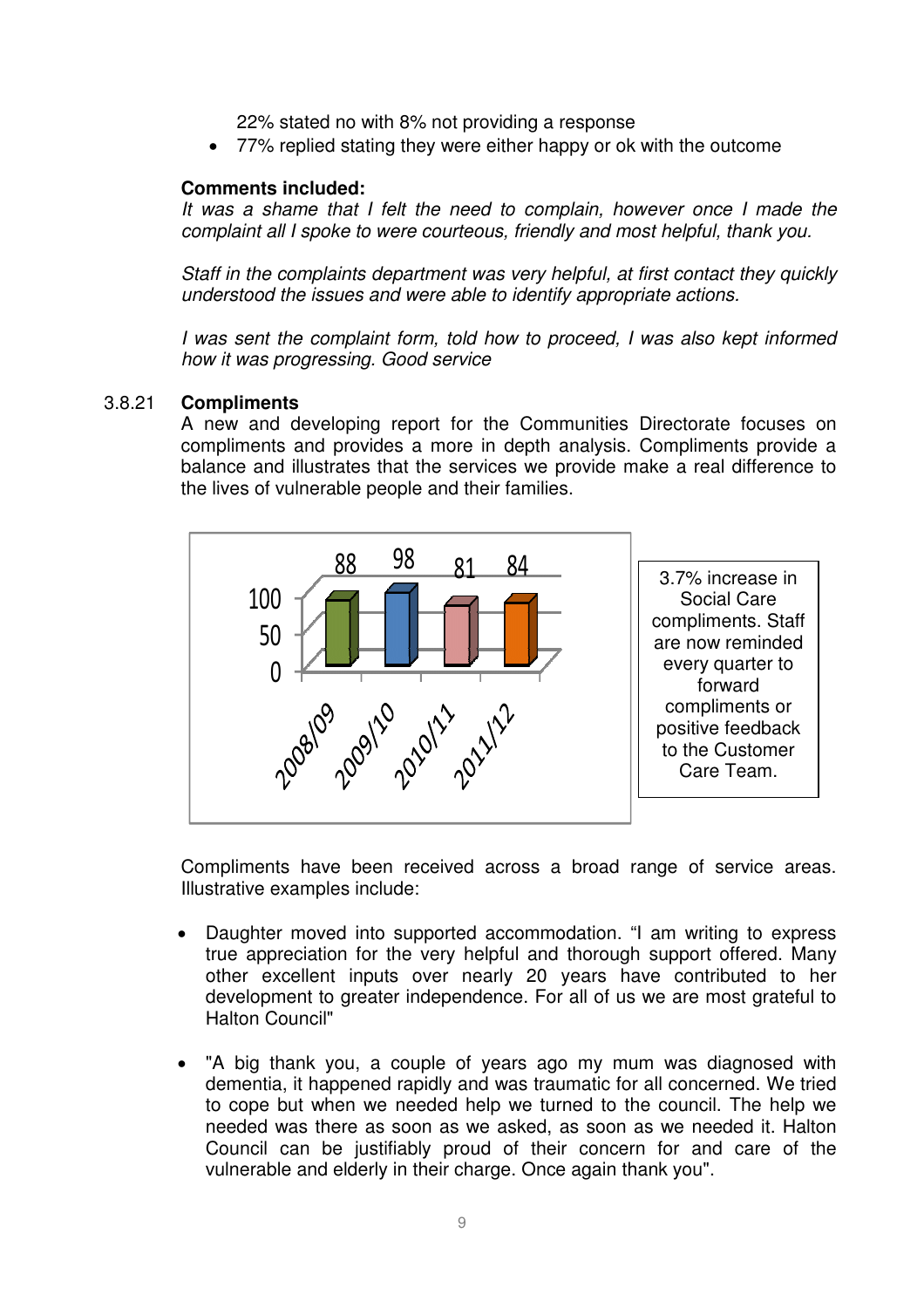22% stated no with 8% not providing a response

• 77% replied stating they were either happy or ok with the outcome

#### **Comments included:**

It was a shame that I felt the need to complain, however once I made the complaint all I spoke to were courteous, friendly and most helpful, thank you.

Staff in the complaints department was very helpful, at first contact they quickly understood the issues and were able to identify appropriate actions.

I was sent the complaint form, told how to proceed, I was also kept informed how it was progressing. Good service

#### 3.8.21 **Compliments**

A new and developing report for the Communities Directorate focuses on compliments and provides a more in depth analysis. Compliments provide a balance and illustrates that the services we provide make a real difference to the lives of vulnerable people and their families.



Compliments have been received across a broad range of service areas. Illustrative examples include:

- Daughter moved into supported accommodation. "I am writing to express true appreciation for the very helpful and thorough support offered. Many other excellent inputs over nearly 20 years have contributed to her development to greater independence. For all of us we are most grateful to Halton Council"
- "A big thank you, a couple of years ago my mum was diagnosed with dementia, it happened rapidly and was traumatic for all concerned. We tried to cope but when we needed help we turned to the council. The help we needed was there as soon as we asked, as soon as we needed it. Halton Council can be justifiably proud of their concern for and care of the vulnerable and elderly in their charge. Once again thank you".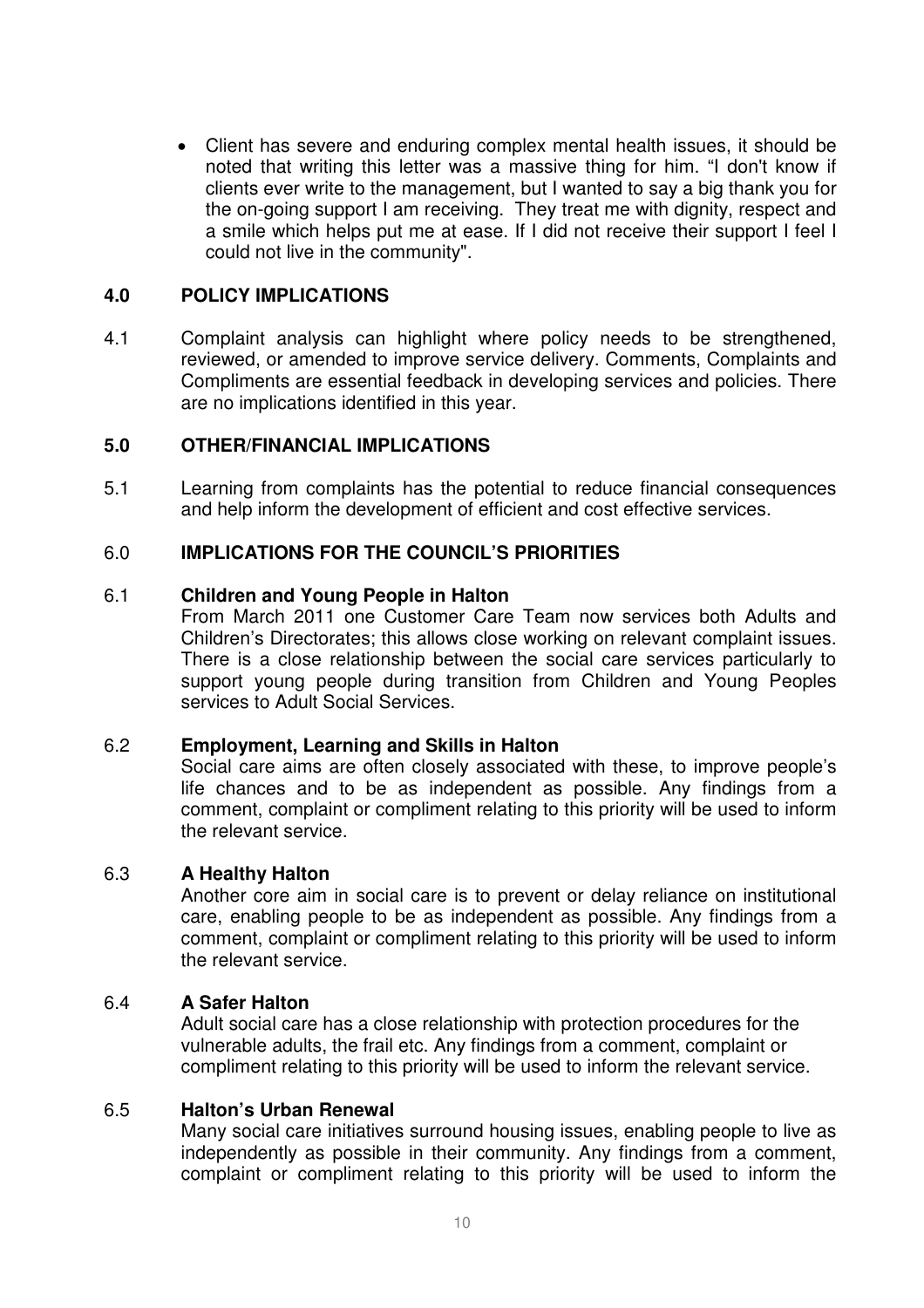• Client has severe and enduring complex mental health issues, it should be noted that writing this letter was a massive thing for him. "I don't know if clients ever write to the management, but I wanted to say a big thank you for the on-going support I am receiving. They treat me with dignity, respect and a smile which helps put me at ease. If I did not receive their support I feel I could not live in the community".

## **4.0 POLICY IMPLICATIONS**

4.1 Complaint analysis can highlight where policy needs to be strengthened, reviewed, or amended to improve service delivery. Comments, Complaints and Compliments are essential feedback in developing services and policies. There are no implications identified in this year.

## **5.0 OTHER/FINANCIAL IMPLICATIONS**

5.1 Learning from complaints has the potential to reduce financial consequences and help inform the development of efficient and cost effective services.

## 6.0 **IMPLICATIONS FOR THE COUNCIL'S PRIORITIES**

#### 6.1 **Children and Young People in Halton**

From March 2011 one Customer Care Team now services both Adults and Children's Directorates; this allows close working on relevant complaint issues. There is a close relationship between the social care services particularly to support young people during transition from Children and Young Peoples services to Adult Social Services.

## 6.2 **Employment, Learning and Skills in Halton**

Social care aims are often closely associated with these, to improve people's life chances and to be as independent as possible. Any findings from a comment, complaint or compliment relating to this priority will be used to inform the relevant service.

## 6.3 **A Healthy Halton**

Another core aim in social care is to prevent or delay reliance on institutional care, enabling people to be as independent as possible. Any findings from a comment, complaint or compliment relating to this priority will be used to inform the relevant service.

#### 6.4 **A Safer Halton**

Adult social care has a close relationship with protection procedures for the vulnerable adults, the frail etc. Any findings from a comment, complaint or compliment relating to this priority will be used to inform the relevant service.

#### 6.5 **Halton's Urban Renewal**

Many social care initiatives surround housing issues, enabling people to live as independently as possible in their community. Any findings from a comment, complaint or compliment relating to this priority will be used to inform the